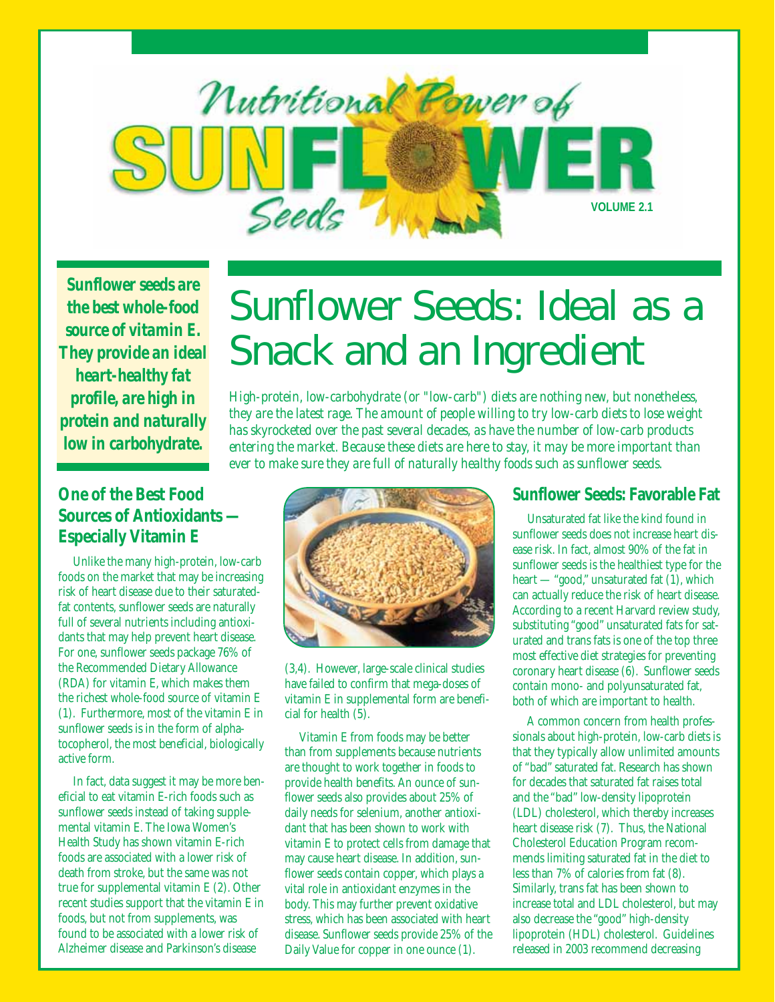

*Sunflower seeds are the best whole-food source of vitamin E. They provide an ideal heart-healthy fat profile, are high in protein and naturally low in carbohydrate.*

# Sunflower Seeds: Ideal as a Snack and an Ingredient

*High-protein, low-carbohydrate (or "low-carb") diets are nothing new, but nonetheless, they are the latest rage. The amount of people willing to try low-carb diets to lose weight has skyrocketed over the past several decades, as have the number of low-carb products entering the market. Because these diets are here to stay, it may be more important than ever to make sure they are full of naturally healthy foods such as sunflower seeds.*

### **One of the Best Food Sources of Antioxidants — Especially Vitamin E**

Unlike the many high-protein, low-carb foods on the market that may be increasing risk of heart disease due to their saturatedfat contents, sunflower seeds are naturally full of several nutrients including antioxidants that may help prevent heart disease. For one, sunflower seeds package 76% of the Recommended Dietary Allowance (RDA) for vitamin E, which makes them the richest whole-food source of vitamin E (1). Furthermore, most of the vitamin E in sunflower seeds is in the form of alphatocopherol, the most beneficial, biologically active form.

In fact, data suggest it may be more beneficial to eat vitamin E-rich foods such as sunflower seeds instead of taking supplemental vitamin E. The Iowa Women's Health Study has shown vitamin E-rich foods are associated with a lower risk of death from stroke, but the same was not true for supplemental vitamin E (2). Other recent studies support that the vitamin E in foods, but not from supplements, was found to be associated with a lower risk of Alzheimer disease and Parkinson's disease



(3,4). However, large-scale clinical studies have failed to confirm that mega-doses of vitamin E in supplemental form are beneficial for health (5).

Vitamin E from foods may be better than from supplements because nutrients are thought to work together in foods to provide health benefits. An ounce of sunflower seeds also provides about 25% of daily needs for selenium, another antioxidant that has been shown to work with vitamin E to protect cells from damage that may cause heart disease. In addition, sunflower seeds contain copper, which plays a vital role in antioxidant enzymes in the body. This may further prevent oxidative stress, which has been associated with heart disease. Sunflower seeds provide 25% of the Daily Value for copper in one ounce (1).

#### **Sunflower Seeds: Favorable Fat**

Unsaturated fat like the kind found in sunflower seeds does not increase heart disease risk. In fact, almost 90% of the fat in sunflower seeds is the healthiest type for the heart — "good," unsaturated fat (1), which can actually reduce the risk of heart disease. According to a recent Harvard review study, substituting "good" unsaturated fats for saturated and trans fats is one of the top three most effective diet strategies for preventing coronary heart disease (6). Sunflower seeds contain mono- and polyunsaturated fat, both of which are important to health.

A common concern from health professionals about high-protein, low-carb diets is that they typically allow unlimited amounts of "bad" saturated fat. Research has shown for decades that saturated fat raises total and the "bad" low-density lipoprotein (LDL) cholesterol, which thereby increases heart disease risk (7). Thus, the National Cholesterol Education Program recommends limiting saturated fat in the diet to less than 7% of calories from fat (8). Similarly, trans fat has been shown to increase total and LDL cholesterol, but may also decrease the "good" high-density lipoprotein (HDL) cholesterol. Guidelines released in 2003 recommend decreasing